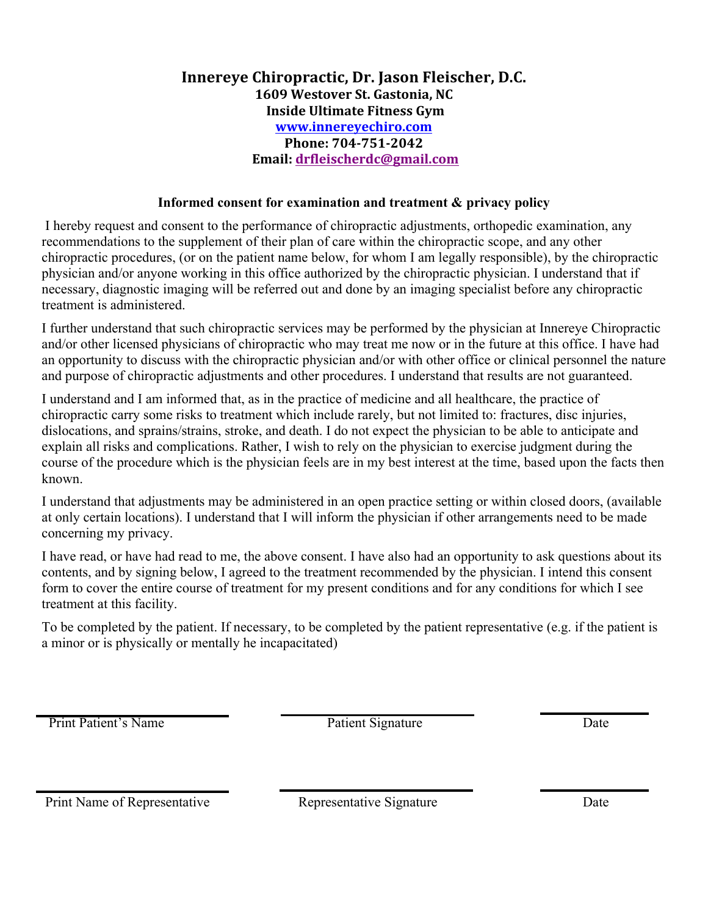## **Innereye Chiropractic, Dr. Jason Fleischer, D.C. 1609 Westover St. Gastonia, NC Inside Ultimate Fitness Gym www.innereyechiro.com Phone: 704-751-2042 Email: drfleischerdc@gmail.com**

## **Informed consent for examination and treatment & privacy policy**

I hereby request and consent to the performance of chiropractic adjustments, orthopedic examination, any recommendations to the supplement of their plan of care within the chiropractic scope, and any other chiropractic procedures, (or on the patient name below, for whom I am legally responsible), by the chiropractic physician and/or anyone working in this office authorized by the chiropractic physician. I understand that if necessary, diagnostic imaging will be referred out and done by an imaging specialist before any chiropractic treatment is administered.

I further understand that such chiropractic services may be performed by the physician at Innereye Chiropractic and/or other licensed physicians of chiropractic who may treat me now or in the future at this office. I have had an opportunity to discuss with the chiropractic physician and/or with other office or clinical personnel the nature and purpose of chiropractic adjustments and other procedures. I understand that results are not guaranteed.

I understand and I am informed that, as in the practice of medicine and all healthcare, the practice of chiropractic carry some risks to treatment which include rarely, but not limited to: fractures, disc injuries, dislocations, and sprains/strains, stroke, and death. I do not expect the physician to be able to anticipate and explain all risks and complications. Rather, I wish to rely on the physician to exercise judgment during the course of the procedure which is the physician feels are in my best interest at the time, based upon the facts then known.

I understand that adjustments may be administered in an open practice setting or within closed doors, (available at only certain locations). I understand that I will inform the physician if other arrangements need to be made concerning my privacy.

I have read, or have had read to me, the above consent. I have also had an opportunity to ask questions about its contents, and by signing below, I agreed to the treatment recommended by the physician. I intend this consent form to cover the entire course of treatment for my present conditions and for any conditions for which I see treatment at this facility.

To be completed by the patient. If necessary, to be completed by the patient representative (e.g. if the patient is a minor or is physically or mentally he incapacitated)

Print Patient's Name Date Patient Signature Date

Print Name of Representative Representative Signature Date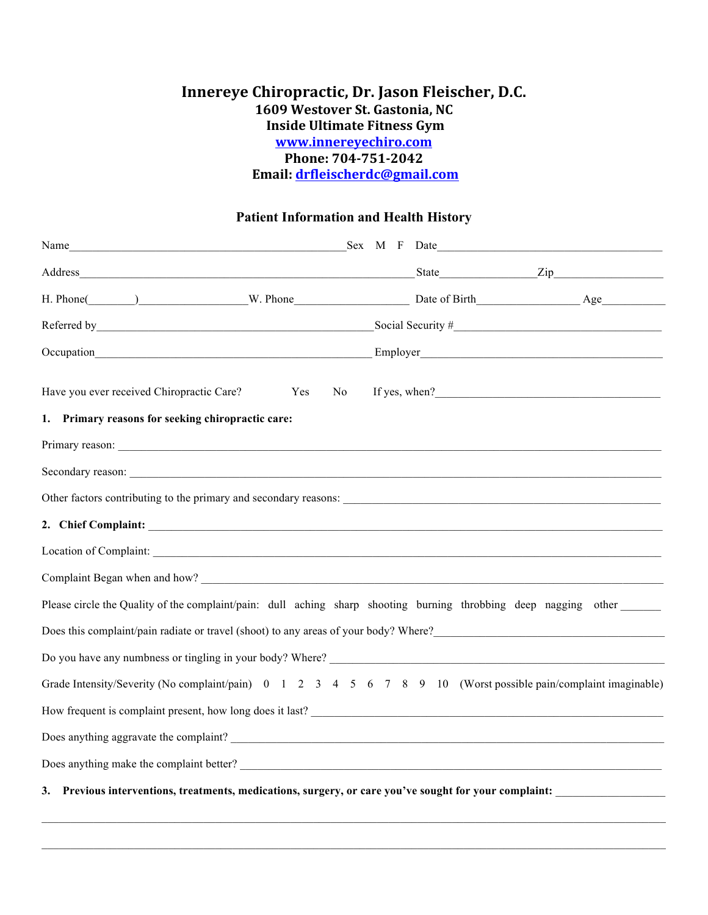## **Innereye Chiropractic, Dr. Jason Fleischer, D.C. 1609 Westover St. Gastonia, NC Inside Ultimate Fitness Gym www.innereyechiro.com Phone: 704-751-2042 Email: drfleischerdc@gmail.com**

## **Patient Information and Health History**

|                                                                                                                  | $\text{Social Security}$ # |  |
|------------------------------------------------------------------------------------------------------------------|----------------------------|--|
| Occupation                                                                                                       |                            |  |
| Have you ever received Chiropractic Care?<br>Yes<br>No                                                           | If yes, when?              |  |
| 1. Primary reasons for seeking chiropractic care:                                                                |                            |  |
|                                                                                                                  |                            |  |
|                                                                                                                  |                            |  |
|                                                                                                                  |                            |  |
|                                                                                                                  |                            |  |
|                                                                                                                  |                            |  |
|                                                                                                                  |                            |  |
| Please circle the Quality of the complaint/pain: dull aching sharp shooting burning throbbing deep nagging other |                            |  |
| Does this complaint/pain radiate or travel (shoot) to any areas of your body? Where?                             |                            |  |
|                                                                                                                  |                            |  |
| Grade Intensity/Severity (No complaint/pain) 0 1 2 3 4 5 6 7 8 9 10 (Worst possible pain/complaint imaginable)   |                            |  |
|                                                                                                                  |                            |  |
|                                                                                                                  |                            |  |
|                                                                                                                  |                            |  |
| Previous interventions, treatments, medications, surgery, or care you've sought for your complaint:<br>3.        |                            |  |

 $\mathcal{L}_\text{max} = \frac{1}{2} \sum_{i=1}^n \mathcal{L}_\text{max} = \frac{1}{2} \sum_{i=1}^n \mathcal{L}_\text{max} = \frac{1}{2} \sum_{i=1}^n \mathcal{L}_\text{max} = \frac{1}{2} \sum_{i=1}^n \mathcal{L}_\text{max} = \frac{1}{2} \sum_{i=1}^n \mathcal{L}_\text{max} = \frac{1}{2} \sum_{i=1}^n \mathcal{L}_\text{max} = \frac{1}{2} \sum_{i=1}^n \mathcal{L}_\text{max} = \frac{1}{2} \sum_{i=$